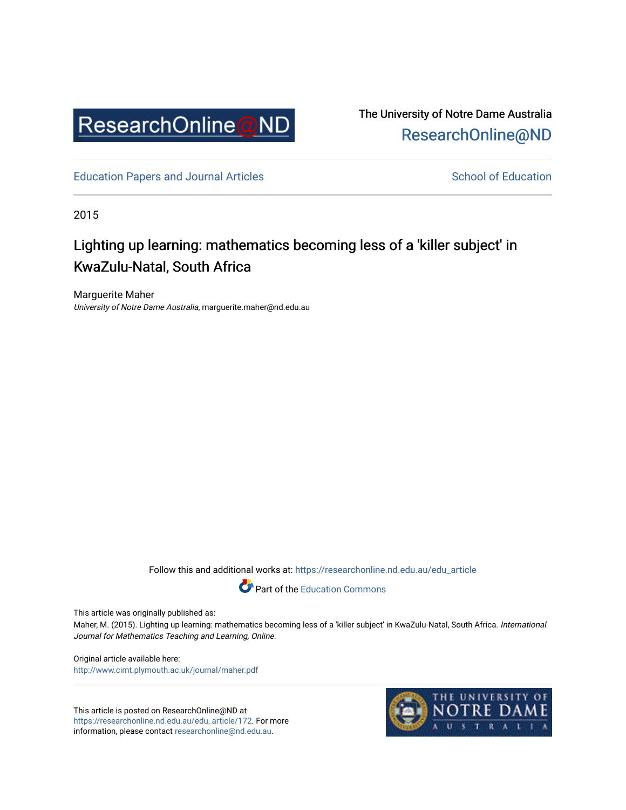

The University of Notre Dame Australia [ResearchOnline@ND](https://researchonline.nd.edu.au/) 

[Education Papers and Journal Articles](https://researchonline.nd.edu.au/edu_article) [School of Education](https://researchonline.nd.edu.au/edu) School of Education

2015

# Lighting up learning: mathematics becoming less of a 'killer subject' in KwaZulu-Natal, South Africa

Marguerite Maher University of Notre Dame Australia, marguerite.maher@nd.edu.au

Follow this and additional works at: [https://researchonline.nd.edu.au/edu\\_article](https://researchonline.nd.edu.au/edu_article?utm_source=researchonline.nd.edu.au%2Fedu_article%2F172&utm_medium=PDF&utm_campaign=PDFCoverPages)



This article was originally published as:

Maher, M. (2015). Lighting up learning: mathematics becoming less of a 'killer subject' in KwaZulu-Natal, South Africa. International Journal for Mathematics Teaching and Learning, Online.

Original article available here: <http://www.cimt.plymouth.ac.uk/journal/maher.pdf>

This article is posted on ResearchOnline@ND at [https://researchonline.nd.edu.au/edu\\_article/172](https://researchonline.nd.edu.au/edu_article/172). For more information, please contact [researchonline@nd.edu.au.](mailto:researchonline@nd.edu.au)

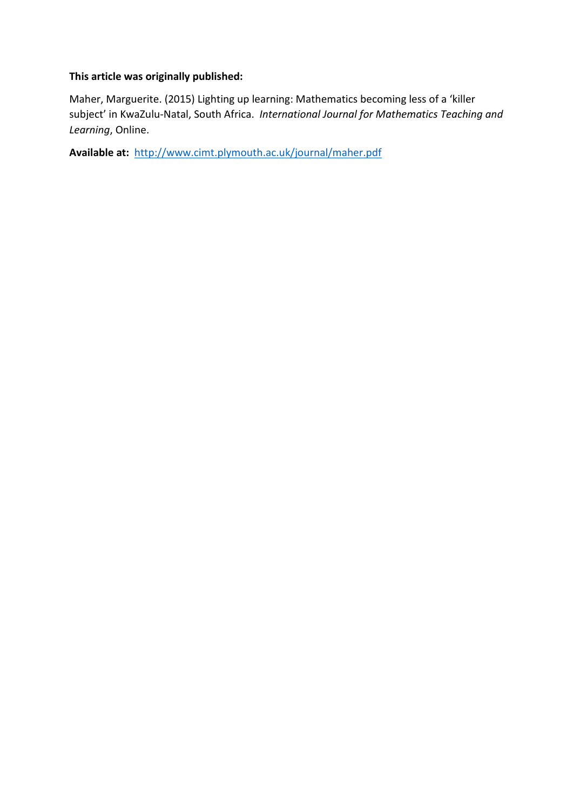## **This article was originally published:**

Maher, Marguerite. (2015) Lighting up learning: Mathematics becoming less of a 'killer subject' in KwaZulu-Natal, South Africa. *International Journal for Mathematics Teaching and Learning*, Online.

**Available at:** <http://www.cimt.plymouth.ac.uk/journal/maher.pdf>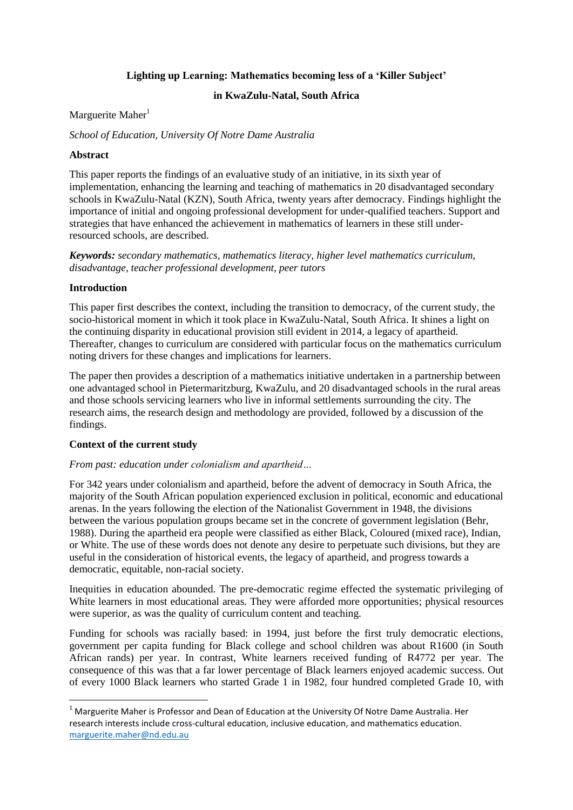### **Lighting up Learning: Mathematics becoming less of a 'Killer Subject'**

### **in KwaZulu-Natal, South Africa**

#### Marguerite Maher $1$

*School of Education, University Of Notre Dame Australia*

#### **Abstract**

This paper reports the findings of an evaluative study of an initiative, in its sixth year of implementation, enhancing the learning and teaching of mathematics in 20 disadvantaged secondary schools in KwaZulu-Natal (KZN), South Africa, twenty years after democracy. Findings highlight the importance of initial and ongoing professional development for under-qualified teachers. Support and strategies that have enhanced the achievement in mathematics of learners in these still underresourced schools, are described.

*Keywords: secondary mathematics, mathematics literacy, higher level mathematics curriculum, disadvantage, teacher professional development, peer tutors*

#### **Introduction**

**.** 

This paper first describes the context, including the transition to democracy, of the current study, the socio-historical moment in which it took place in KwaZulu-Natal, South Africa. It shines a light on the continuing disparity in educational provision still evident in 2014, a legacy of apartheid. Thereafter, changes to curriculum are considered with particular focus on the mathematics curriculum noting drivers for these changes and implications for learners.

The paper then provides a description of a mathematics initiative undertaken in a partnership between one advantaged school in Pietermaritzburg, KwaZulu, and 20 disadvantaged schools in the rural areas and those schools servicing learners who live in informal settlements surrounding the city. The research aims, the research design and methodology are provided, followed by a discussion of the findings.

### **Context of the current study**

### *From past: education under colonialism and apartheid…*

For 342 years under colonialism and apartheid, before the advent of democracy in South Africa, the majority of the South African population experienced exclusion in political, economic and educational arenas. In the years following the election of the Nationalist Government in 1948, the divisions between the various population groups became set in the concrete of government legislation (Behr, 1988). During the apartheid era people were classified as either Black, Coloured (mixed race), Indian, or White. The use of these words does not denote any desire to perpetuate such divisions, but they are useful in the consideration of historical events, the legacy of apartheid, and progress towards a democratic, equitable, non-racial society.

Inequities in education abounded. The pre-democratic regime effected the systematic privileging of White learners in most educational areas. They were afforded more opportunities; physical resources were superior, as was the quality of curriculum content and teaching.

Funding for schools was racially based: in 1994, just before the first truly democratic elections, government per capita funding for Black college and school children was about R1600 (in South African rands) per year. In contrast, White learners received funding of R4772 per year. The consequence of this was that a far lower percentage of Black learners enjoyed academic success. Out of every 1000 Black learners who started Grade 1 in 1982, four hundred completed Grade 10, with

 $<sup>1</sup>$  Marguerite Maher is Professor and Dean of Education at the University Of Notre Dame Australia. Her</sup> research interests include cross-cultural education, inclusive education, and mathematics education. [marguerite.maher@nd.edu.au](mailto:marguerite.maher@nd.edu.au)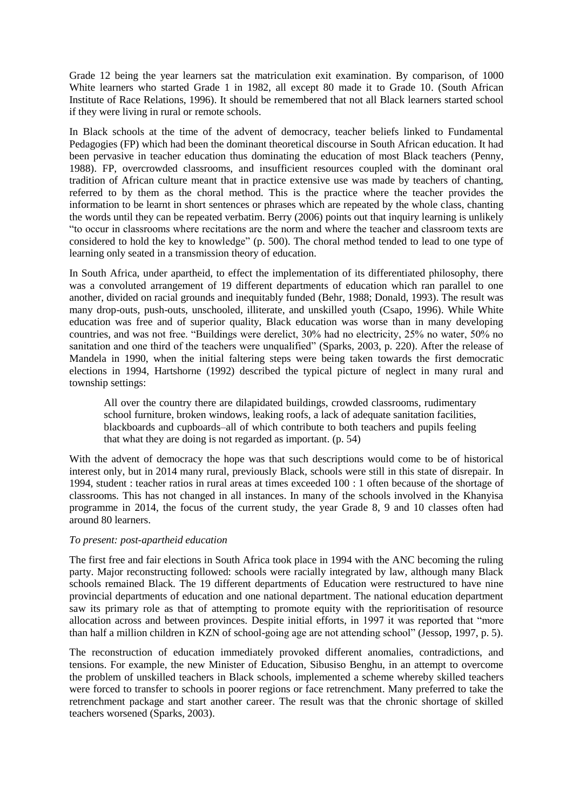Grade 12 being the year learners sat the matriculation exit examination. By comparison, of 1000 White learners who started Grade 1 in 1982, all except 80 made it to Grade 10. (South African Institute of Race Relations, 1996). It should be remembered that not all Black learners started school if they were living in rural or remote schools.

In Black schools at the time of the advent of democracy, teacher beliefs linked to Fundamental Pedagogies (FP) which had been the dominant theoretical discourse in South African education. It had been pervasive in teacher education thus dominating the education of most Black teachers (Penny, 1988). FP, overcrowded classrooms, and insufficient resources coupled with the dominant oral tradition of African culture meant that in practice extensive use was made by teachers of chanting, referred to by them as the choral method. This is the practice where the teacher provides the information to be learnt in short sentences or phrases which are repeated by the whole class, chanting the words until they can be repeated verbatim. Berry (2006) points out that inquiry learning is unlikely "to occur in classrooms where recitations are the norm and where the teacher and classroom texts are considered to hold the key to knowledge" (p. 500). The choral method tended to lead to one type of learning only seated in a transmission theory of education.

In South Africa, under apartheid, to effect the implementation of its differentiated philosophy, there was a convoluted arrangement of 19 different departments of education which ran parallel to one another, divided on racial grounds and inequitably funded (Behr, 1988; Donald, 1993). The result was many drop-outs, push-outs, unschooled, illiterate, and unskilled youth (Csapo, 1996). While White education was free and of superior quality, Black education was worse than in many developing countries, and was not free. "Buildings were derelict, 30% had no electricity, 25% no water, 50% no sanitation and one third of the teachers were unqualified" (Sparks, 2003, p. 220). After the release of Mandela in 1990, when the initial faltering steps were being taken towards the first democratic elections in 1994, Hartshorne (1992) described the typical picture of neglect in many rural and township settings:

All over the country there are dilapidated buildings, crowded classrooms, rudimentary school furniture, broken windows, leaking roofs, a lack of adequate sanitation facilities, blackboards and cupboards–all of which contribute to both teachers and pupils feeling that what they are doing is not regarded as important. (p. 54)

With the advent of democracy the hope was that such descriptions would come to be of historical interest only, but in 2014 many rural, previously Black, schools were still in this state of disrepair. In 1994, student : teacher ratios in rural areas at times exceeded 100 : 1 often because of the shortage of classrooms. This has not changed in all instances. In many of the schools involved in the Khanyisa programme in 2014, the focus of the current study, the year Grade 8, 9 and 10 classes often had around 80 learners.

### *To present: post-apartheid education*

The first free and fair elections in South Africa took place in 1994 with the ANC becoming the ruling party. Major reconstructing followed: schools were racially integrated by law, although many Black schools remained Black. The 19 different departments of Education were restructured to have nine provincial departments of education and one national department. The national education department saw its primary role as that of attempting to promote equity with the reprioritisation of resource allocation across and between provinces. Despite initial efforts, in 1997 it was reported that "more than half a million children in KZN of school-going age are not attending school" (Jessop, 1997, p. 5).

The reconstruction of education immediately provoked different anomalies, contradictions, and tensions. For example, the new Minister of Education, Sibusiso Benghu, in an attempt to overcome the problem of unskilled teachers in Black schools, implemented a scheme whereby skilled teachers were forced to transfer to schools in poorer regions or face retrenchment. Many preferred to take the retrenchment package and start another career. The result was that the chronic shortage of skilled teachers worsened (Sparks, 2003).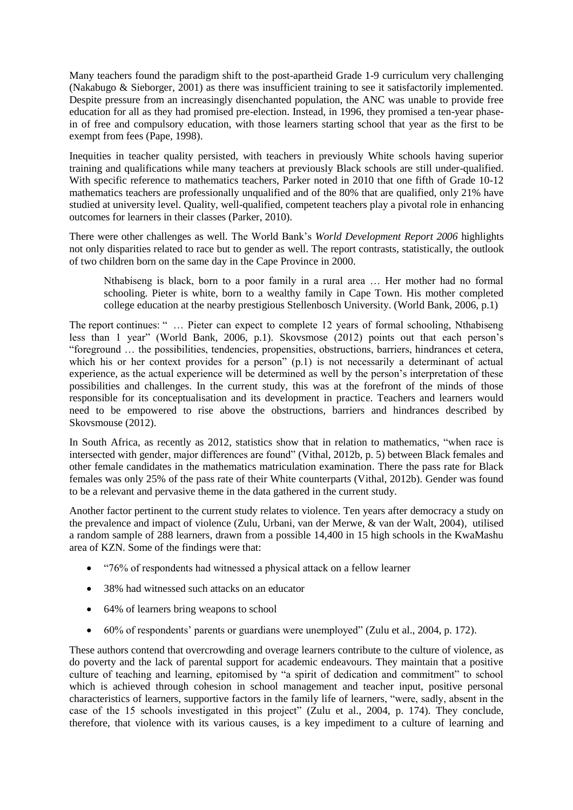Many teachers found the paradigm shift to the post-apartheid Grade 1-9 curriculum very challenging (Nakabugo & Sieborger, 2001) as there was insufficient training to see it satisfactorily implemented. Despite pressure from an increasingly disenchanted population, the ANC was unable to provide free education for all as they had promised pre-election. Instead, in 1996, they promised a ten-year phasein of free and compulsory education, with those learners starting school that year as the first to be exempt from fees (Pape, 1998).

Inequities in teacher quality persisted, with teachers in previously White schools having superior training and qualifications while many teachers at previously Black schools are still under-qualified. With specific reference to mathematics teachers, Parker noted in 2010 that one fifth of Grade 10-12 mathematics teachers are professionally unqualified and of the 80% that are qualified, only 21% have studied at university level. Quality, well-qualified, competent teachers play a pivotal role in enhancing outcomes for learners in their classes (Parker, 2010).

There were other challenges as well. The World Bank's *World Development Report 2006* highlights not only disparities related to race but to gender as well. The report contrasts, statistically, the outlook of two children born on the same day in the Cape Province in 2000.

Nthabiseng is black, born to a poor family in a rural area … Her mother had no formal schooling. Pieter is white, born to a wealthy family in Cape Town. His mother completed college education at the nearby prestigious Stellenbosch University. (World Bank, 2006, p.1)

The report continues: " … Pieter can expect to complete 12 years of formal schooling, Nthabiseng less than 1 year" (World Bank, 2006, p.1). Skovsmose (2012) points out that each person's "foreground … the possibilities, tendencies, propensities, obstructions, barriers, hindrances et cetera, which his or her context provides for a person" (p.1) is not necessarily a determinant of actual experience, as the actual experience will be determined as well by the person's interpretation of these possibilities and challenges. In the current study, this was at the forefront of the minds of those responsible for its conceptualisation and its development in practice. Teachers and learners would need to be empowered to rise above the obstructions, barriers and hindrances described by Skovsmouse (2012).

In South Africa, as recently as 2012, statistics show that in relation to mathematics, "when race is intersected with gender, major differences are found" (Vithal, 2012b, p. 5) between Black females and other female candidates in the mathematics matriculation examination. There the pass rate for Black females was only 25% of the pass rate of their White counterparts (Vithal, 2012b). Gender was found to be a relevant and pervasive theme in the data gathered in the current study.

Another factor pertinent to the current study relates to violence. Ten years after democracy a study on the prevalence and impact of violence (Zulu, Urbani, van der Merwe, & van der Walt, 2004), utilised a random sample of 288 learners, drawn from a possible 14,400 in 15 high schools in the KwaMashu area of KZN. Some of the findings were that:

- "76% of respondents had witnessed a physical attack on a fellow learner
- 38% had witnessed such attacks on an educator
- 64% of learners bring weapons to school
- 60% of respondents' parents or guardians were unemployed" (Zulu et al., 2004, p. 172).

These authors contend that overcrowding and overage learners contribute to the culture of violence, as do poverty and the lack of parental support for academic endeavours. They maintain that a positive culture of teaching and learning, epitomised by "a spirit of dedication and commitment" to school which is achieved through cohesion in school management and teacher input, positive personal characteristics of learners, supportive factors in the family life of learners, "were, sadly, absent in the case of the 15 schools investigated in this project" (Zulu et al., 2004, p. 174). They conclude, therefore, that violence with its various causes, is a key impediment to a culture of learning and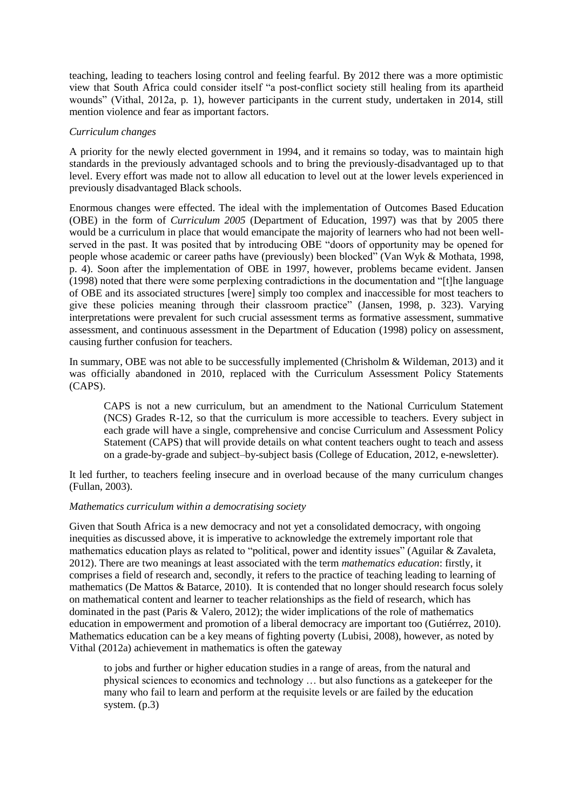teaching, leading to teachers losing control and feeling fearful. By 2012 there was a more optimistic view that South Africa could consider itself "a post-conflict society still healing from its apartheid wounds" (Vithal, 2012a, p. 1), however participants in the current study, undertaken in 2014, still mention violence and fear as important factors.

### *Curriculum changes*

A priority for the newly elected government in 1994, and it remains so today, was to maintain high standards in the previously advantaged schools and to bring the previously-disadvantaged up to that level. Every effort was made not to allow all education to level out at the lower levels experienced in previously disadvantaged Black schools.

Enormous changes were effected. The ideal with the implementation of Outcomes Based Education (OBE) in the form of *Curriculum 2005* (Department of Education, 1997) was that by 2005 there would be a curriculum in place that would emancipate the majority of learners who had not been wellserved in the past. It was posited that by introducing OBE "doors of opportunity may be opened for people whose academic or career paths have (previously) been blocked" (Van Wyk & Mothata, 1998, p. 4). Soon after the implementation of OBE in 1997, however, problems became evident. Jansen (1998) noted that there were some perplexing contradictions in the documentation and "[t]he language of OBE and its associated structures [were] simply too complex and inaccessible for most teachers to give these policies meaning through their classroom practice" (Jansen, 1998, p. 323). Varying interpretations were prevalent for such crucial assessment terms as formative assessment, summative assessment, and continuous assessment in the Department of Education (1998) policy on assessment, causing further confusion for teachers.

In summary, OBE was not able to be successfully implemented (Chrisholm & Wildeman, 2013) and it was officially abandoned in 2010, replaced with the Curriculum Assessment Policy Statements (CAPS).

CAPS is not a new curriculum, but an amendment to the National Curriculum Statement (NCS) Grades R-12, so that the curriculum is more accessible to teachers. Every subject in each grade will have a single, comprehensive and concise Curriculum and Assessment Policy Statement (CAPS) that will provide details on what content teachers ought to teach and assess on a grade-by-grade and subject–by-subject basis (College of Education, 2012, e-newsletter).

It led further, to teachers feeling insecure and in overload because of the many curriculum changes (Fullan, 2003).

### *Mathematics curriculum within a democratising society*

Given that South Africa is a new democracy and not yet a consolidated democracy, with ongoing inequities as discussed above, it is imperative to acknowledge the extremely important role that mathematics education plays as related to "political, power and identity issues" (Aguilar & Zavaleta, 2012). There are two meanings at least associated with the term *mathematics education*: firstly, it comprises a field of research and, secondly, it refers to the practice of teaching leading to learning of mathematics (De Mattos & Batarce, 2010). It is contended that no longer should research focus solely on mathematical content and learner to teacher relationships as the field of research, which has dominated in the past (Paris & Valero, 2012); the wider implications of the role of mathematics education in empowerment and promotion of a liberal democracy are important too (Gutiérrez, 2010). Mathematics education can be a key means of fighting poverty (Lubisi, 2008), however, as noted by Vithal (2012a) achievement in mathematics is often the gateway

to jobs and further or higher education studies in a range of areas, from the natural and physical sciences to economics and technology … but also functions as a gatekeeper for the many who fail to learn and perform at the requisite levels or are failed by the education system. (p.3)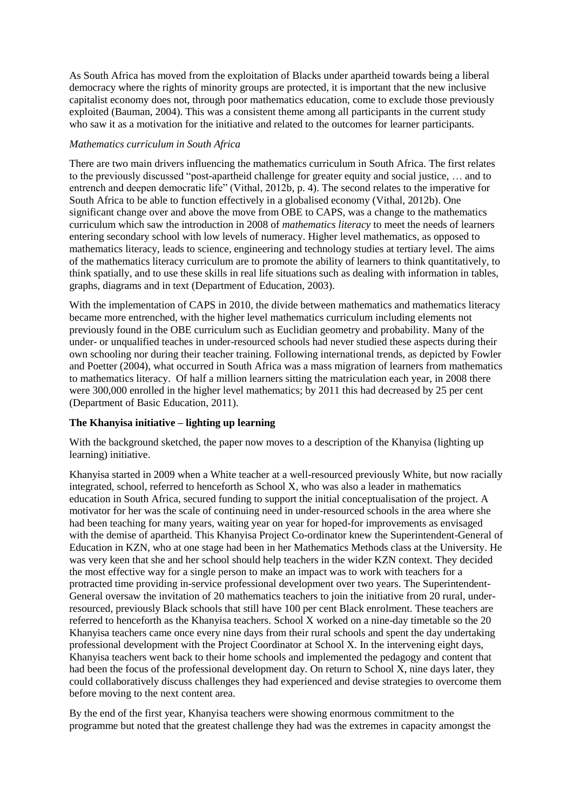As South Africa has moved from the exploitation of Blacks under apartheid towards being a liberal democracy where the rights of minority groups are protected, it is important that the new inclusive capitalist economy does not, through poor mathematics education, come to exclude those previously exploited (Bauman, 2004). This was a consistent theme among all participants in the current study who saw it as a motivation for the initiative and related to the outcomes for learner participants.

### *Mathematics curriculum in South Africa*

There are two main drivers influencing the mathematics curriculum in South Africa. The first relates to the previously discussed "post-apartheid challenge for greater equity and social justice, … and to entrench and deepen democratic life" (Vithal, 2012b, p. 4). The second relates to the imperative for South Africa to be able to function effectively in a globalised economy (Vithal, 2012b). One significant change over and above the move from OBE to CAPS, was a change to the mathematics curriculum which saw the introduction in 2008 of *mathematics literacy* to meet the needs of learners entering secondary school with low levels of numeracy. Higher level mathematics, as opposed to mathematics literacy, leads to science, engineering and technology studies at tertiary level. The aims of the mathematics literacy curriculum are to promote the ability of learners to think quantitatively, to think spatially, and to use these skills in real life situations such as dealing with information in tables, graphs, diagrams and in text (Department of Education, 2003).

With the implementation of CAPS in 2010, the divide between mathematics and mathematics literacy became more entrenched, with the higher level mathematics curriculum including elements not previously found in the OBE curriculum such as Euclidian geometry and probability. Many of the under- or unqualified teaches in under-resourced schools had never studied these aspects during their own schooling nor during their teacher training. Following international trends, as depicted by Fowler and Poetter (2004), what occurred in South Africa was a mass migration of learners from mathematics to mathematics literacy. Of half a million learners sitting the matriculation each year, in 2008 there were 300,000 enrolled in the higher level mathematics; by 2011 this had decreased by 25 per cent (Department of Basic Education, 2011).

### **The Khanyisa initiative – lighting up learning**

With the background sketched, the paper now moves to a description of the Khanyisa (lighting up learning) initiative.

Khanyisa started in 2009 when a White teacher at a well-resourced previously White, but now racially integrated, school, referred to henceforth as School X, who was also a leader in mathematics education in South Africa, secured funding to support the initial conceptualisation of the project. A motivator for her was the scale of continuing need in under-resourced schools in the area where she had been teaching for many years, waiting year on year for hoped-for improvements as envisaged with the demise of apartheid. This Khanyisa Project Co-ordinator knew the Superintendent-General of Education in KZN, who at one stage had been in her Mathematics Methods class at the University. He was very keen that she and her school should help teachers in the wider KZN context. They decided the most effective way for a single person to make an impact was to work with teachers for a protracted time providing in-service professional development over two years. The Superintendent-General oversaw the invitation of 20 mathematics teachers to join the initiative from 20 rural, underresourced, previously Black schools that still have 100 per cent Black enrolment. These teachers are referred to henceforth as the Khanyisa teachers. School X worked on a nine-day timetable so the 20 Khanyisa teachers came once every nine days from their rural schools and spent the day undertaking professional development with the Project Coordinator at School X. In the intervening eight days, Khanyisa teachers went back to their home schools and implemented the pedagogy and content that had been the focus of the professional development day. On return to School X, nine days later, they could collaboratively discuss challenges they had experienced and devise strategies to overcome them before moving to the next content area.

By the end of the first year, Khanyisa teachers were showing enormous commitment to the programme but noted that the greatest challenge they had was the extremes in capacity amongst the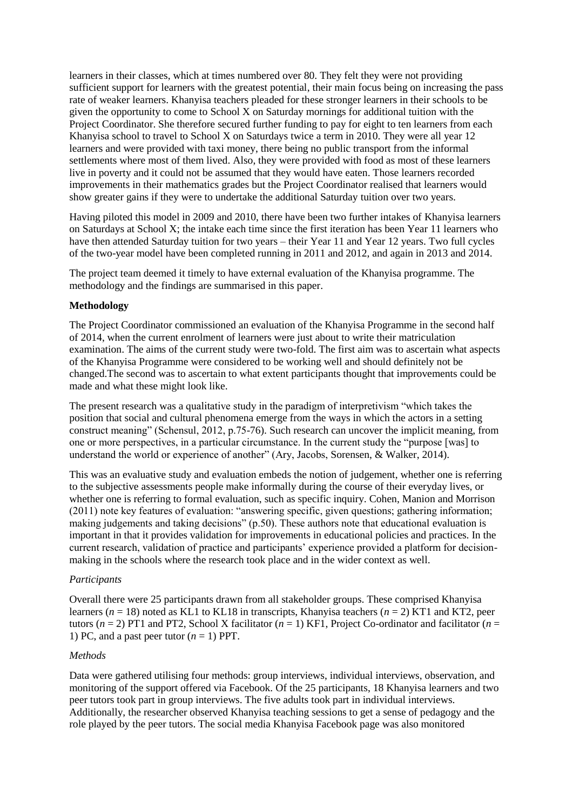learners in their classes, which at times numbered over 80. They felt they were not providing sufficient support for learners with the greatest potential, their main focus being on increasing the pass rate of weaker learners. Khanyisa teachers pleaded for these stronger learners in their schools to be given the opportunity to come to School X on Saturday mornings for additional tuition with the Project Coordinator. She therefore secured further funding to pay for eight to ten learners from each Khanyisa school to travel to School X on Saturdays twice a term in 2010. They were all year 12 learners and were provided with taxi money, there being no public transport from the informal settlements where most of them lived. Also, they were provided with food as most of these learners live in poverty and it could not be assumed that they would have eaten. Those learners recorded improvements in their mathematics grades but the Project Coordinator realised that learners would show greater gains if they were to undertake the additional Saturday tuition over two years.

Having piloted this model in 2009 and 2010, there have been two further intakes of Khanyisa learners on Saturdays at School X; the intake each time since the first iteration has been Year 11 learners who have then attended Saturday tuition for two years – their Year 11 and Year 12 years. Two full cycles of the two-year model have been completed running in 2011 and 2012, and again in 2013 and 2014.

The project team deemed it timely to have external evaluation of the Khanyisa programme. The methodology and the findings are summarised in this paper.

#### **Methodology**

The Project Coordinator commissioned an evaluation of the Khanyisa Programme in the second half of 2014, when the current enrolment of learners were just about to write their matriculation examination. The aims of the current study were two-fold. The first aim was to ascertain what aspects of the Khanyisa Programme were considered to be working well and should definitely not be changed.The second was to ascertain to what extent participants thought that improvements could be made and what these might look like.

The present research was a qualitative study in the paradigm of interpretivism "which takes the position that social and cultural phenomena emerge from the ways in which the actors in a setting construct meaning" (Schensul, 2012, p.75-76). Such research can uncover the implicit meaning, from one or more perspectives, in a particular circumstance. In the current study the "purpose [was] to understand the world or experience of another" (Ary, Jacobs, Sorensen, & Walker, 2014).

This was an evaluative study and evaluation embeds the notion of judgement, whether one is referring to the subjective assessments people make informally during the course of their everyday lives, or whether one is referring to formal evaluation, such as specific inquiry. Cohen, Manion and Morrison (2011) note key features of evaluation: "answering specific, given questions; gathering information; making judgements and taking decisions" (p.50). These authors note that educational evaluation is important in that it provides validation for improvements in educational policies and practices. In the current research, validation of practice and participants' experience provided a platform for decisionmaking in the schools where the research took place and in the wider context as well.

#### *Participants*

Overall there were 25 participants drawn from all stakeholder groups. These comprised Khanyisa learners (*n* = 18) noted as KL1 to KL18 in transcripts, Khanyisa teachers (*n* = 2) KT1 and KT2, peer tutors ( $n = 2$ ) PT1 and PT2, School X facilitator ( $n = 1$ ) KF1, Project Co-ordinator and facilitator ( $n = 1$ ) 1) PC, and a past peer tutor  $(n = 1)$  PPT.

#### *Methods*

Data were gathered utilising four methods: group interviews, individual interviews, observation, and monitoring of the support offered via Facebook. Of the 25 participants, 18 Khanyisa learners and two peer tutors took part in group interviews. The five adults took part in individual interviews. Additionally, the researcher observed Khanyisa teaching sessions to get a sense of pedagogy and the role played by the peer tutors. The social media Khanyisa Facebook page was also monitored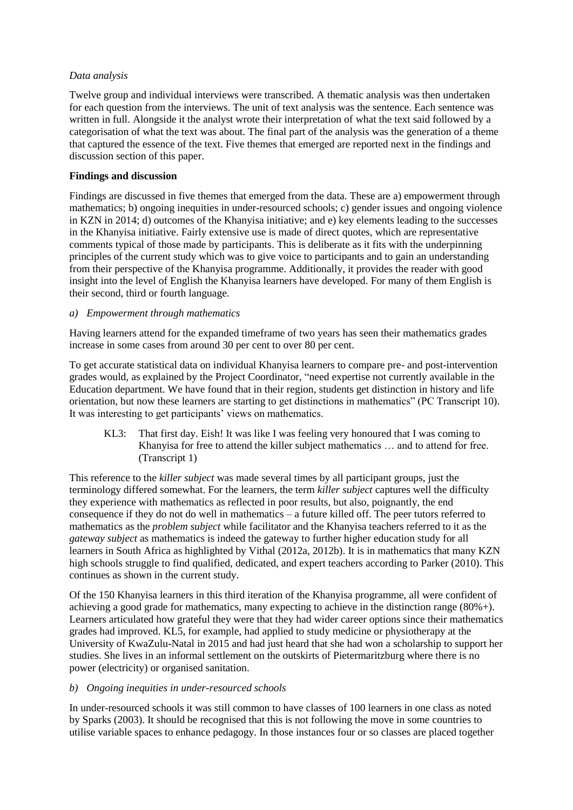### *Data analysis*

Twelve group and individual interviews were transcribed. A thematic analysis was then undertaken for each question from the interviews. The unit of text analysis was the sentence. Each sentence was written in full. Alongside it the analyst wrote their interpretation of what the text said followed by a categorisation of what the text was about. The final part of the analysis was the generation of a theme that captured the essence of the text. Five themes that emerged are reported next in the findings and discussion section of this paper.

### **Findings and discussion**

Findings are discussed in five themes that emerged from the data. These are a) empowerment through mathematics; b) ongoing inequities in under-resourced schools; c) gender issues and ongoing violence in KZN in 2014; d) outcomes of the Khanyisa initiative; and e) key elements leading to the successes in the Khanyisa initiative. Fairly extensive use is made of direct quotes, which are representative comments typical of those made by participants. This is deliberate as it fits with the underpinning principles of the current study which was to give voice to participants and to gain an understanding from their perspective of the Khanyisa programme. Additionally, it provides the reader with good insight into the level of English the Khanyisa learners have developed. For many of them English is their second, third or fourth language.

### *a) Empowerment through mathematics*

Having learners attend for the expanded timeframe of two years has seen their mathematics grades increase in some cases from around 30 per cent to over 80 per cent.

To get accurate statistical data on individual Khanyisa learners to compare pre- and post-intervention grades would, as explained by the Project Coordinator, "need expertise not currently available in the Education department. We have found that in their region, students get distinction in history and life orientation, but now these learners are starting to get distinctions in mathematics" (PC Transcript 10). It was interesting to get participants' views on mathematics.

KL3: That first day. Eish! It was like I was feeling very honoured that I was coming to Khanyisa for free to attend the killer subject mathematics … and to attend for free. (Transcript 1)

This reference to the *killer subject* was made several times by all participant groups, just the terminology differed somewhat. For the learners, the term *killer subject* captures well the difficulty they experience with mathematics as reflected in poor results, but also, poignantly, the end consequence if they do not do well in mathematics – a future killed off. The peer tutors referred to mathematics as the *problem subject* while facilitator and the Khanyisa teachers referred to it as the *gateway subject* as mathematics is indeed the gateway to further higher education study for all learners in South Africa as highlighted by Vithal (2012a, 2012b). It is in mathematics that many KZN high schools struggle to find qualified, dedicated, and expert teachers according to Parker (2010). This continues as shown in the current study.

Of the 150 Khanyisa learners in this third iteration of the Khanyisa programme, all were confident of achieving a good grade for mathematics, many expecting to achieve in the distinction range (80%+). Learners articulated how grateful they were that they had wider career options since their mathematics grades had improved. KL5, for example, had applied to study medicine or physiotherapy at the University of KwaZulu-Natal in 2015 and had just heard that she had won a scholarship to support her studies. She lives in an informal settlement on the outskirts of Pietermaritzburg where there is no power (electricity) or organised sanitation.

### *b) Ongoing inequities in under-resourced schools*

In under-resourced schools it was still common to have classes of 100 learners in one class as noted by Sparks (2003). It should be recognised that this is not following the move in some countries to utilise variable spaces to enhance pedagogy. In those instances four or so classes are placed together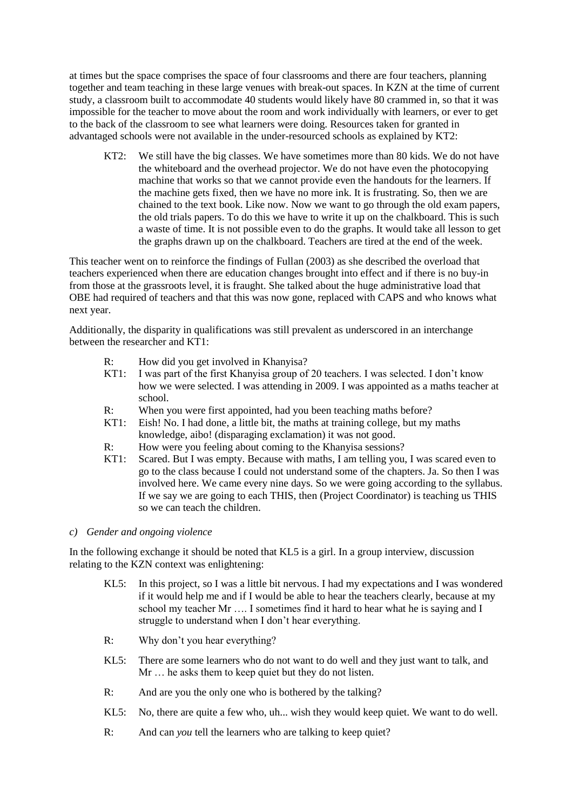at times but the space comprises the space of four classrooms and there are four teachers, planning together and team teaching in these large venues with break-out spaces. In KZN at the time of current study, a classroom built to accommodate 40 students would likely have 80 crammed in, so that it was impossible for the teacher to move about the room and work individually with learners, or ever to get to the back of the classroom to see what learners were doing. Resources taken for granted in advantaged schools were not available in the under-resourced schools as explained by KT2:

KT2: We still have the big classes. We have sometimes more than 80 kids. We do not have the whiteboard and the overhead projector. We do not have even the photocopying machine that works so that we cannot provide even the handouts for the learners. If the machine gets fixed, then we have no more ink. It is frustrating. So, then we are chained to the text book. Like now. Now we want to go through the old exam papers, the old trials papers. To do this we have to write it up on the chalkboard. This is such a waste of time. It is not possible even to do the graphs. It would take all lesson to get the graphs drawn up on the chalkboard. Teachers are tired at the end of the week.

This teacher went on to reinforce the findings of Fullan (2003) as she described the overload that teachers experienced when there are education changes brought into effect and if there is no buy-in from those at the grassroots level, it is fraught. She talked about the huge administrative load that OBE had required of teachers and that this was now gone, replaced with CAPS and who knows what next year.

Additionally, the disparity in qualifications was still prevalent as underscored in an interchange between the researcher and KT1:

- R: How did you get involved in Khanyisa?
- KT1: I was part of the first Khanyisa group of 20 teachers. I was selected. I don't know how we were selected. I was attending in 2009. I was appointed as a maths teacher at school.
- R: When you were first appointed, had you been teaching maths before?
- KT1: Eish! No. I had done, a little bit, the maths at training college, but my maths knowledge, aibo! (disparaging exclamation) it was not good.
- R: How were you feeling about coming to the Khanyisa sessions?
- KT1: Scared. But I was empty. Because with maths, I am telling you, I was scared even to go to the class because I could not understand some of the chapters. Ja. So then I was involved here. We came every nine days. So we were going according to the syllabus. If we say we are going to each THIS, then (Project Coordinator) is teaching us THIS so we can teach the children.

### *c) Gender and ongoing violence*

In the following exchange it should be noted that KL5 is a girl. In a group interview, discussion relating to the KZN context was enlightening:

- KL5: In this project, so I was a little bit nervous. I had my expectations and I was wondered if it would help me and if I would be able to hear the teachers clearly, because at my school my teacher Mr …. I sometimes find it hard to hear what he is saying and I struggle to understand when I don't hear everything.
- R: Why don't you hear everything?
- KL5: There are some learners who do not want to do well and they just want to talk, and Mr ... he asks them to keep quiet but they do not listen.
- R: And are you the only one who is bothered by the talking?
- KL5: No, there are quite a few who, uh... wish they would keep quiet. We want to do well.
- R: And can *you* tell the learners who are talking to keep quiet?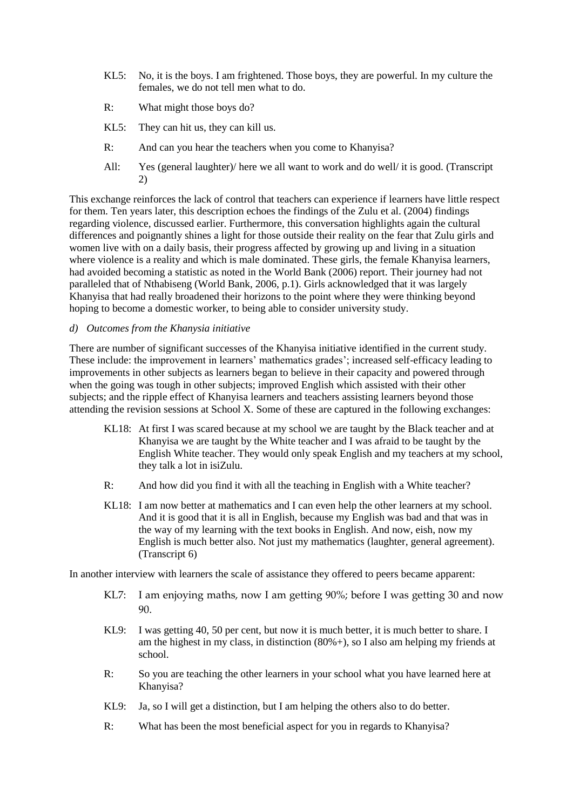- KL5: No, it is the boys. I am frightened. Those boys, they are powerful. In my culture the females, we do not tell men what to do.
- R: What might those boys do?
- KL5: They can hit us, they can kill us.
- R: And can you hear the teachers when you come to Khanyisa?
- All: Yes (general laughter)/ here we all want to work and do well/ it is good. (Transcript 2)

This exchange reinforces the lack of control that teachers can experience if learners have little respect for them. Ten years later, this description echoes the findings of the Zulu et al. (2004) findings regarding violence, discussed earlier. Furthermore, this conversation highlights again the cultural differences and poignantly shines a light for those outside their reality on the fear that Zulu girls and women live with on a daily basis, their progress affected by growing up and living in a situation where violence is a reality and which is male dominated. These girls, the female Khanyisa learners, had avoided becoming a statistic as noted in the World Bank (2006) report. Their journey had not paralleled that of Nthabiseng (World Bank, 2006, p.1). Girls acknowledged that it was largely Khanyisa that had really broadened their horizons to the point where they were thinking beyond hoping to become a domestic worker, to being able to consider university study.

### *d) Outcomes from the Khanysia initiative*

There are number of significant successes of the Khanyisa initiative identified in the current study. These include: the improvement in learners' mathematics grades'; increased self-efficacy leading to improvements in other subjects as learners began to believe in their capacity and powered through when the going was tough in other subjects; improved English which assisted with their other subjects; and the ripple effect of Khanyisa learners and teachers assisting learners beyond those attending the revision sessions at School X. Some of these are captured in the following exchanges:

- KL18: At first I was scared because at my school we are taught by the Black teacher and at Khanyisa we are taught by the White teacher and I was afraid to be taught by the English White teacher. They would only speak English and my teachers at my school, they talk a lot in isiZulu.
- R: And how did you find it with all the teaching in English with a White teacher?
- KL18: I am now better at mathematics and I can even help the other learners at my school. And it is good that it is all in English, because my English was bad and that was in the way of my learning with the text books in English. And now, eish, now my English is much better also. Not just my mathematics (laughter, general agreement). (Transcript 6)

In another interview with learners the scale of assistance they offered to peers became apparent:

- KL7: I am enjoying maths, now I am getting 90%; before I was getting 30 and now 90.
- KL9: I was getting 40, 50 per cent, but now it is much better, it is much better to share. I am the highest in my class, in distinction (80%+), so I also am helping my friends at school.
- R: So you are teaching the other learners in your school what you have learned here at Khanyisa?
- KL9: Ja, so I will get a distinction, but I am helping the others also to do better.
- R: What has been the most beneficial aspect for you in regards to Khanyisa?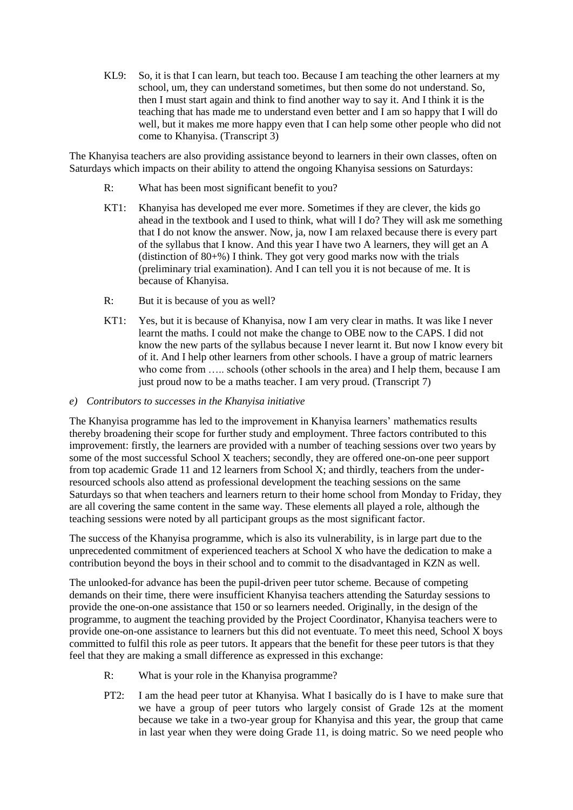KL9: So, it is that I can learn, but teach too. Because I am teaching the other learners at my school, um, they can understand sometimes, but then some do not understand. So, then I must start again and think to find another way to say it. And I think it is the teaching that has made me to understand even better and I am so happy that I will do well, but it makes me more happy even that I can help some other people who did not come to Khanyisa. (Transcript 3)

The Khanyisa teachers are also providing assistance beyond to learners in their own classes, often on Saturdays which impacts on their ability to attend the ongoing Khanyisa sessions on Saturdays:

- R: What has been most significant benefit to you?
- KT1: Khanyisa has developed me ever more. Sometimes if they are clever, the kids go ahead in the textbook and I used to think, what will I do? They will ask me something that I do not know the answer. Now, ja, now I am relaxed because there is every part of the syllabus that I know. And this year I have two A learners, they will get an A (distinction of  $80+%$ ) I think. They got very good marks now with the trials (preliminary trial examination). And I can tell you it is not because of me. It is because of Khanyisa.
- R: But it is because of you as well?
- KT1: Yes, but it is because of Khanyisa, now I am very clear in maths. It was like I never learnt the maths. I could not make the change to OBE now to the CAPS. I did not know the new parts of the syllabus because I never learnt it. But now I know every bit of it. And I help other learners from other schools. I have a group of matric learners who come from ..... schools (other schools in the area) and I help them, because I am just proud now to be a maths teacher. I am very proud. (Transcript 7)
- *e) Contributors to successes in the Khanyisa initiative*

The Khanyisa programme has led to the improvement in Khanyisa learners' mathematics results thereby broadening their scope for further study and employment. Three factors contributed to this improvement: firstly, the learners are provided with a number of teaching sessions over two years by some of the most successful School X teachers; secondly, they are offered one-on-one peer support from top academic Grade 11 and 12 learners from School X; and thirdly, teachers from the underresourced schools also attend as professional development the teaching sessions on the same Saturdays so that when teachers and learners return to their home school from Monday to Friday, they are all covering the same content in the same way. These elements all played a role, although the teaching sessions were noted by all participant groups as the most significant factor.

The success of the Khanyisa programme, which is also its vulnerability, is in large part due to the unprecedented commitment of experienced teachers at School X who have the dedication to make a contribution beyond the boys in their school and to commit to the disadvantaged in KZN as well.

The unlooked-for advance has been the pupil-driven peer tutor scheme. Because of competing demands on their time, there were insufficient Khanyisa teachers attending the Saturday sessions to provide the one-on-one assistance that 150 or so learners needed. Originally, in the design of the programme, to augment the teaching provided by the Project Coordinator, Khanyisa teachers were to provide one-on-one assistance to learners but this did not eventuate. To meet this need, School X boys committed to fulfil this role as peer tutors. It appears that the benefit for these peer tutors is that they feel that they are making a small difference as expressed in this exchange:

- R: What is your role in the Khanyisa programme?
- PT2: I am the head peer tutor at Khanyisa. What I basically do is I have to make sure that we have a group of peer tutors who largely consist of Grade 12s at the moment because we take in a two-year group for Khanyisa and this year, the group that came in last year when they were doing Grade 11, is doing matric. So we need people who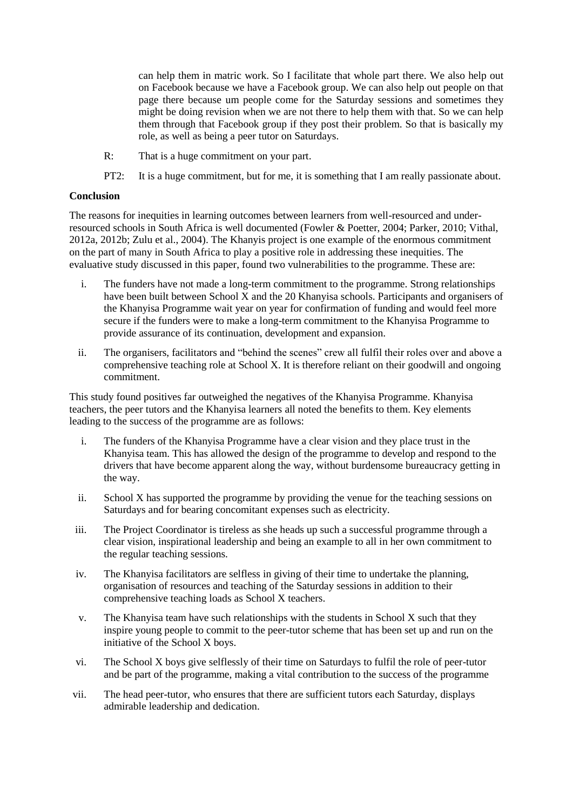can help them in matric work. So I facilitate that whole part there. We also help out on Facebook because we have a Facebook group. We can also help out people on that page there because um people come for the Saturday sessions and sometimes they might be doing revision when we are not there to help them with that. So we can help them through that Facebook group if they post their problem. So that is basically my role, as well as being a peer tutor on Saturdays.

- R: That is a huge commitment on your part.
- PT2: It is a huge commitment, but for me, it is something that I am really passionate about.

#### **Conclusion**

The reasons for inequities in learning outcomes between learners from well-resourced and underresourced schools in South Africa is well documented (Fowler & Poetter, 2004; Parker, 2010; Vithal, 2012a, 2012b; Zulu et al., 2004). The Khanyis project is one example of the enormous commitment on the part of many in South Africa to play a positive role in addressing these inequities. The evaluative study discussed in this paper, found two vulnerabilities to the programme. These are:

- i. The funders have not made a long-term commitment to the programme. Strong relationships have been built between School X and the 20 Khanyisa schools. Participants and organisers of the Khanyisa Programme wait year on year for confirmation of funding and would feel more secure if the funders were to make a long-term commitment to the Khanyisa Programme to provide assurance of its continuation, development and expansion.
- ii. The organisers, facilitators and "behind the scenes" crew all fulfil their roles over and above a comprehensive teaching role at School X. It is therefore reliant on their goodwill and ongoing commitment.

This study found positives far outweighed the negatives of the Khanyisa Programme. Khanyisa teachers, the peer tutors and the Khanyisa learners all noted the benefits to them. Key elements leading to the success of the programme are as follows:

- i. The funders of the Khanyisa Programme have a clear vision and they place trust in the Khanyisa team. This has allowed the design of the programme to develop and respond to the drivers that have become apparent along the way, without burdensome bureaucracy getting in the way.
- ii. School X has supported the programme by providing the venue for the teaching sessions on Saturdays and for bearing concomitant expenses such as electricity.
- iii. The Project Coordinator is tireless as she heads up such a successful programme through a clear vision, inspirational leadership and being an example to all in her own commitment to the regular teaching sessions.
- iv. The Khanyisa facilitators are selfless in giving of their time to undertake the planning, organisation of resources and teaching of the Saturday sessions in addition to their comprehensive teaching loads as School X teachers.
- v. The Khanyisa team have such relationships with the students in School X such that they inspire young people to commit to the peer-tutor scheme that has been set up and run on the initiative of the School X boys.
- vi. The School X boys give selflessly of their time on Saturdays to fulfil the role of peer-tutor and be part of the programme, making a vital contribution to the success of the programme
- vii. The head peer-tutor, who ensures that there are sufficient tutors each Saturday, displays admirable leadership and dedication.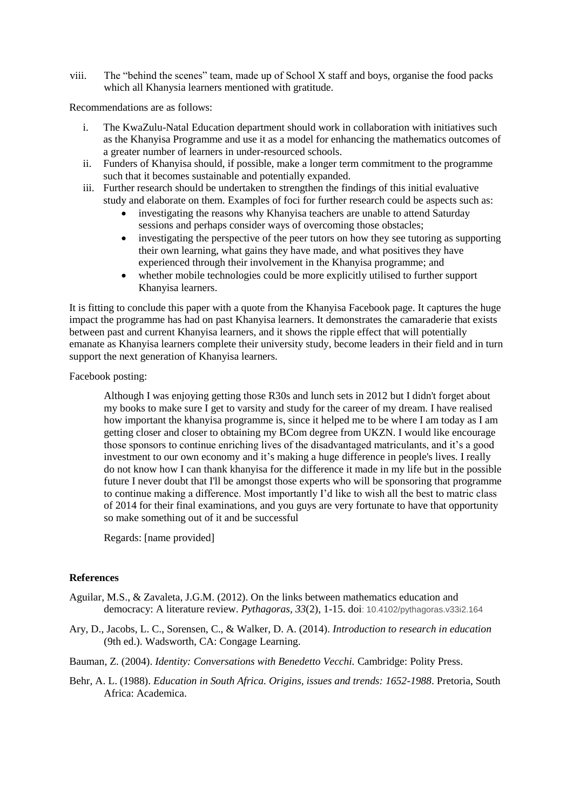viii. The "behind the scenes" team, made up of School X staff and boys, organise the food packs which all Khanysia learners mentioned with gratitude.

Recommendations are as follows:

- The KwaZulu-Natal Education department should work in collaboration with initiatives such as the Khanyisa Programme and use it as a model for enhancing the mathematics outcomes of a greater number of learners in under-resourced schools.
- ii. Funders of Khanyisa should, if possible, make a longer term commitment to the programme such that it becomes sustainable and potentially expanded.
- iii. Further research should be undertaken to strengthen the findings of this initial evaluative study and elaborate on them. Examples of foci for further research could be aspects such as:
	- investigating the reasons why Khanyisa teachers are unable to attend Saturday sessions and perhaps consider ways of overcoming those obstacles;
	- investigating the perspective of the peer tutors on how they see tutoring as supporting their own learning, what gains they have made, and what positives they have experienced through their involvement in the Khanyisa programme; and
	- whether mobile technologies could be more explicitly utilised to further support Khanyisa learners.

It is fitting to conclude this paper with a quote from the Khanyisa Facebook page. It captures the huge impact the programme has had on past Khanyisa learners. It demonstrates the camaraderie that exists between past and current Khanyisa learners, and it shows the ripple effect that will potentially emanate as Khanyisa learners complete their university study, become leaders in their field and in turn support the next generation of Khanyisa learners.

Facebook posting:

Although I was enjoying getting those R30s and lunch sets in 2012 but I didn't forget about my books to make sure I get to varsity and study for the career of my dream. I have realised how important the khanyisa programme is, since it helped me to be where I am today as I am getting closer and closer to obtaining my BCom degree from UKZN. I would like encourage those sponsors to continue enriching lives of the disadvantaged matriculants, and it's a good investment to our own economy and it's making a huge difference in people's lives. I really do not know how I can thank khanyisa for the difference it made in my life but in the possible future I never doubt that I'll be amongst those experts who will be sponsoring that programme to continue making a difference. Most importantly I'd like to wish all the best to matric class of 2014 for their final examinations, and you guys are very fortunate to have that opportunity so make something out of it and be successful

Regards: [name provided]

### **References**

- Aguilar, M.S., & Zavaleta, J.G.M. (2012). On the links between mathematics education and democracy: A literature review. *Pythagoras, 33*(2), 1-15. doi: 10.4102/pythagoras.v33i2.164
- Ary, D., Jacobs, L. C., Sorensen, C., & Walker, D. A. (2014). *Introduction to research in education* (9th ed.). Wadsworth, CA: Congage Learning.

Bauman, Z. (2004). *Identity: Conversations with Benedetto Vecchi.* Cambridge: Polity Press.

Behr, A. L. (1988). *Education in South Africa. Origins, issues and trends: 1652-1988*. Pretoria, South Africa: Academica.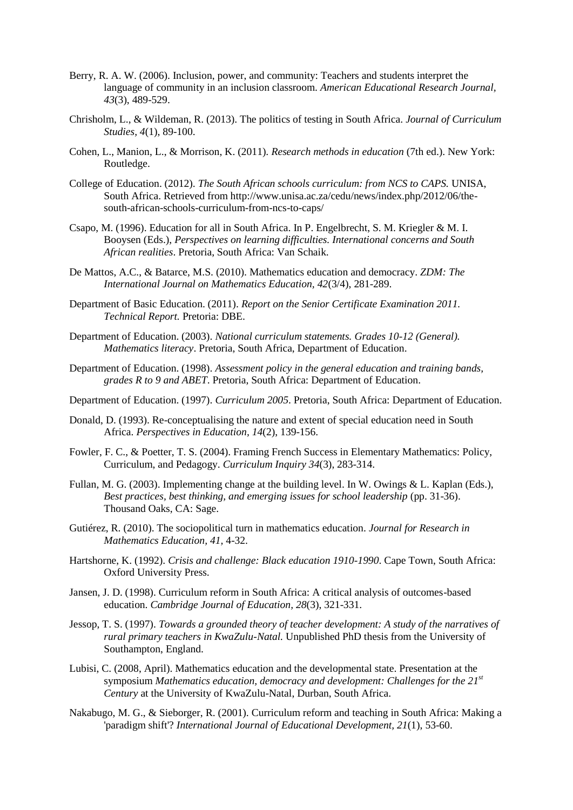- Berry, R. A. W. (2006). Inclusion, power, and community: Teachers and students interpret the language of community in an inclusion classroom. *American Educational Research Journal, 43*(3), 489-529.
- Chrisholm, L., & Wildeman, R. (2013). The politics of testing in South Africa. *Journal of Curriculum Studies, 4*(1), 89-100.
- Cohen, L., Manion, L., & Morrison, K. (2011). *Research methods in education* (7th ed.). New York: Routledge.
- College of Education. (2012). *The South African schools curriculum: from NCS to CAPS.* UNISA, South Africa. Retrieved from http://www.unisa.ac.za/cedu/news/index.php/2012/06/thesouth-african-schools-curriculum-from-ncs-to-caps/
- Csapo, M. (1996). Education for all in South Africa. In P. Engelbrecht, S. M. Kriegler & M. I. Booysen (Eds.), *Perspectives on learning difficulties. International concerns and South African realities*. Pretoria, South Africa: Van Schaik.
- De Mattos, A.C., & Batarce, M.S. (2010). Mathematics education and democracy. *ZDM: The International Journal on Mathematics Education, 42*(3/4), 281-289.
- Department of Basic Education. (2011). *Report on the Senior Certificate Examination 2011. Technical Report.* Pretoria: DBE.
- Department of Education. (2003). *National curriculum statements. Grades 10-12 (General). Mathematics literacy*. Pretoria, South Africa, Department of Education.
- Department of Education. (1998). *Assessment policy in the general education and training bands, grades R to 9 and ABET*. Pretoria, South Africa: Department of Education.
- Department of Education. (1997). *Curriculum 2005*. Pretoria, South Africa: Department of Education.
- Donald, D. (1993). Re-conceptualising the nature and extent of special education need in South Africa. *Perspectives in Education, 14*(2), 139-156.
- Fowler, F. C., & Poetter, T. S. (2004). Framing French Success in Elementary Mathematics: Policy, Curriculum, and Pedagogy. *Curriculum Inquiry 34*(3), 283-314.
- Fullan, M. G. (2003). Implementing change at the building level. In W. Owings & L. Kaplan (Eds.), *Best practices, best thinking, and emerging issues for school leadership* (pp. 31-36). Thousand Oaks, CA: Sage.
- Gutiérez, R. (2010). The sociopolitical turn in mathematics education. *Journal for Research in Mathematics Education, 41,* 4-32.
- Hartshorne, K. (1992). *Crisis and challenge: Black education 1910-1990*. Cape Town, South Africa: Oxford University Press.
- Jansen, J. D. (1998). Curriculum reform in South Africa: A critical analysis of outcomes-based education. *Cambridge Journal of Education, 28*(3), 321-331.
- Jessop, T. S. (1997). *Towards a grounded theory of teacher development: A study of the narratives of rural primary teachers in KwaZulu-Natal.* Unpublished PhD thesis from the University of Southampton, England.
- Lubisi, C. (2008, April). Mathematics education and the developmental state. Presentation at the symposium *Mathematics education, democracy and development: Challenges for the 21st Century* at the University of KwaZulu-Natal, Durban, South Africa.
- Nakabugo, M. G., & Sieborger, R. (2001). Curriculum reform and teaching in South Africa: Making a 'paradigm shift'? *International Journal of Educational Development, 21*(1), 53-60.